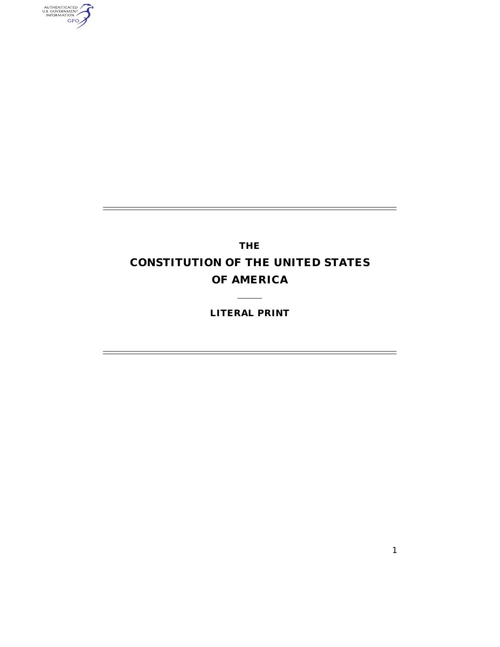AUTHENTICATED

# **THE CONSTITUTION OF THE UNITED STATES OF AMERICA**

## **LITERAL PRINT**

 $\overline{\phantom{0}}$ 

 $\overline{\phantom{0}}$ 

÷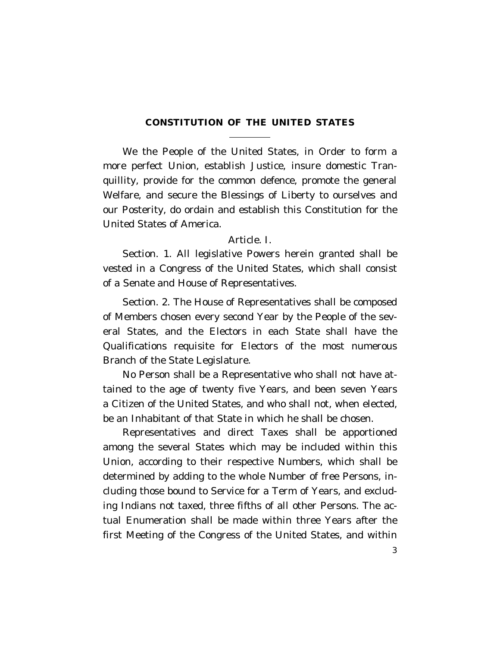## **CONSTITUTION OF THE UNITED STATES**

We the People of the United States, in Order to form a more perfect Union, establish Justice, insure domestic Tranquillity, provide for the common defence, promote the general Welfare, and secure the Blessings of Liberty to ourselves and our Posterity, do ordain and establish this Constitution for the United States of America.

#### Article. I.

Section. 1. All legislative Powers herein granted shall be vested in a Congress of the United States, which shall consist of a Senate and House of Representatives.

Section. 2. The House of Representatives shall be composed of Members chosen every second Year by the People of the several States, and the Electors in each State shall have the Qualifications requisite for Electors of the most numerous Branch of the State Legislature.

No Person shall be a Representative who shall not have attained to the age of twenty five Years, and been seven Years a Citizen of the United States, and who shall not, when elected, be an Inhabitant of that State in which he shall be chosen.

Representatives and direct Taxes shall be apportioned among the several States which may be included within this Union, according to their respective Numbers, which shall be determined by adding to the whole Number of free Persons, including those bound to Service for a Term of Years, and excluding Indians not taxed, three fifths of all other Persons. The actual Enumeration shall be made within three Years after the first Meeting of the Congress of the United States, and within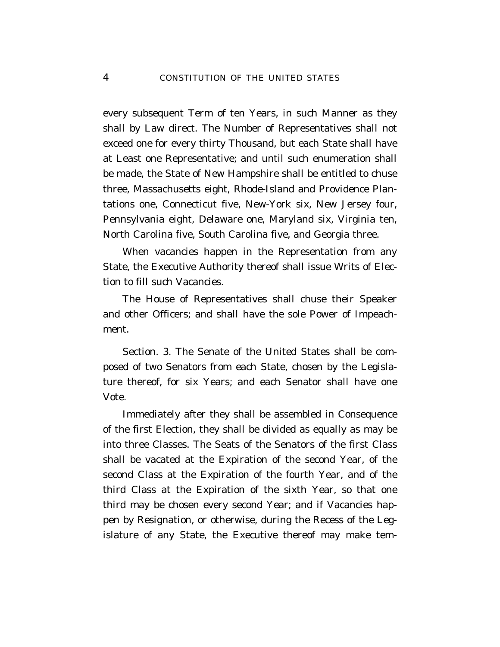every subsequent Term of ten Years, in such Manner as they shall by Law direct. The Number of Representatives shall not exceed one for every thirty Thousand, but each State shall have at Least one Representative; and until such enumeration shall be made, the State of New Hampshire shall be entitled to chuse three, Massachusetts eight, Rhode-Island and Providence Plantations one, Connecticut five, New-York six, New Jersey four, Pennsylvania eight, Delaware one, Maryland six, Virginia ten, North Carolina five, South Carolina five, and Georgia three.

When vacancies happen in the Representation from any State, the Executive Authority thereof shall issue Writs of Election to fill such Vacancies.

The House of Representatives shall chuse their Speaker and other Officers; and shall have the sole Power of Impeachment.

Section. 3. The Senate of the United States shall be composed of two Senators from each State, chosen by the Legislature thereof, for six Years; and each Senator shall have one Vote.

Immediately after they shall be assembled in Consequence of the first Election, they shall be divided as equally as may be into three Classes. The Seats of the Senators of the first Class shall be vacated at the Expiration of the second Year, of the second Class at the Expiration of the fourth Year, and of the third Class at the Expiration of the sixth Year, so that one third may be chosen every second Year; and if Vacancies happen by Resignation, or otherwise, during the Recess of the Legislature of any State, the Executive thereof may make tem-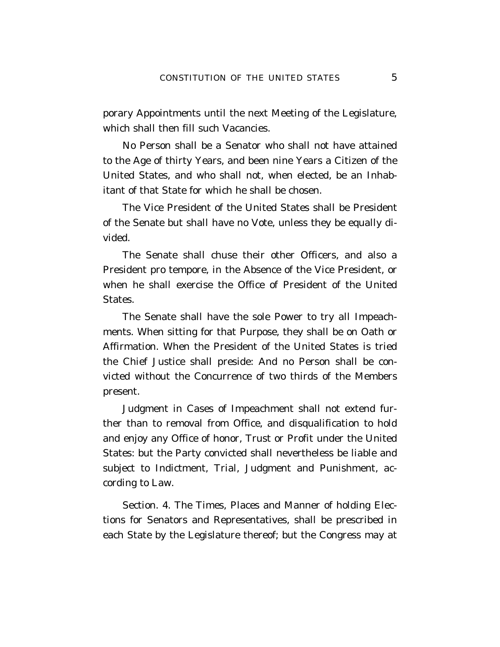porary Appointments until the next Meeting of the Legislature, which shall then fill such Vacancies.

No Person shall be a Senator who shall not have attained to the Age of thirty Years, and been nine Years a Citizen of the United States, and who shall not, when elected, be an Inhabitant of that State for which he shall be chosen.

The Vice President of the United States shall be President of the Senate but shall have no Vote, unless they be equally divided.

The Senate shall chuse their other Officers, and also a President pro tempore, in the Absence of the Vice President, or when he shall exercise the Office of President of the United States.

The Senate shall have the sole Power to try all Impeachments. When sitting for that Purpose, they shall be on Oath or Affirmation. When the President of the United States is tried the Chief Justice shall preside: And no Person shall be convicted without the Concurrence of two thirds of the Members present.

Judgment in Cases of Impeachment shall not extend further than to removal from Office, and disqualification to hold and enjoy any Office of honor, Trust or Profit under the United States: but the Party convicted shall nevertheless be liable and subject to Indictment, Trial, Judgment and Punishment, according to Law.

Section. 4. The Times, Places and Manner of holding Elections for Senators and Representatives, shall be prescribed in each State by the Legislature thereof; but the Congress may at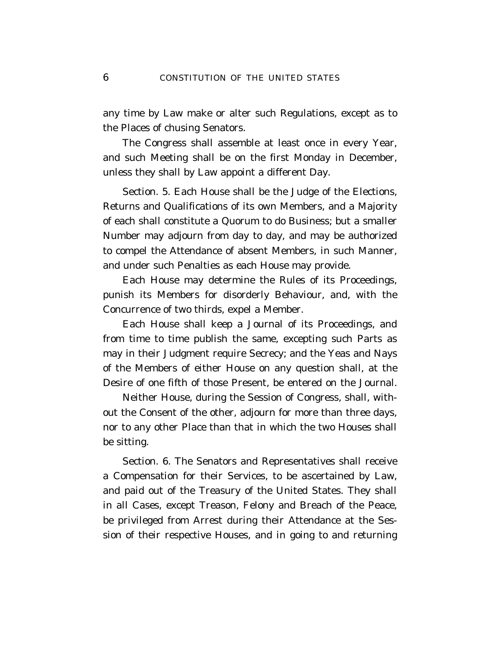any time by Law make or alter such Regulations, except as to the Places of chusing Senators.

The Congress shall assemble at least once in every Year, and such Meeting shall be on the first Monday in December, unless they shall by Law appoint a different Day.

Section. 5. Each House shall be the Judge of the Elections, Returns and Qualifications of its own Members, and a Majority of each shall constitute a Quorum to do Business; but a smaller Number may adjourn from day to day, and may be authorized to compel the Attendance of absent Members, in such Manner, and under such Penalties as each House may provide.

Each House may determine the Rules of its Proceedings, punish its Members for disorderly Behaviour, and, with the Concurrence of two thirds, expel a Member.

Each House shall keep a Journal of its Proceedings, and from time to time publish the same, excepting such Parts as may in their Judgment require Secrecy; and the Yeas and Nays of the Members of either House on any question shall, at the Desire of one fifth of those Present, be entered on the Journal.

Neither House, during the Session of Congress, shall, without the Consent of the other, adjourn for more than three days, nor to any other Place than that in which the two Houses shall be sitting.

Section. 6. The Senators and Representatives shall receive a Compensation for their Services, to be ascertained by Law, and paid out of the Treasury of the United States. They shall in all Cases, except Treason, Felony and Breach of the Peace, be privileged from Arrest during their Attendance at the Session of their respective Houses, and in going to and returning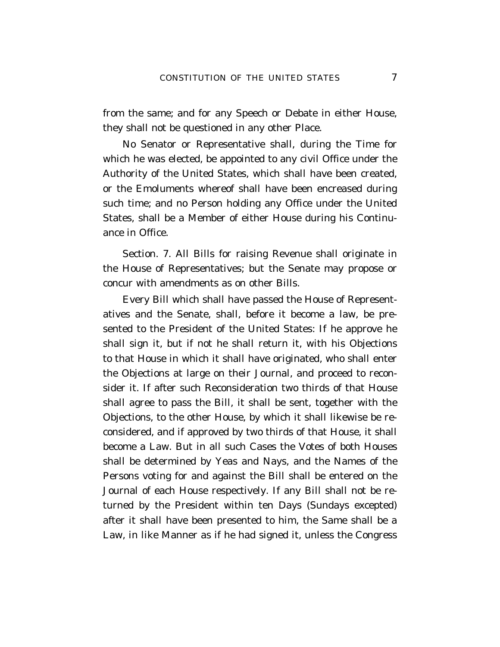from the same; and for any Speech or Debate in either House, they shall not be questioned in any other Place.

No Senator or Representative shall, during the Time for which he was elected, be appointed to any civil Office under the Authority of the United States, which shall have been created, or the Emoluments whereof shall have been encreased during such time; and no Person holding any Office under the United States, shall be a Member of either House during his Continuance in Office.

Section. 7. All Bills for raising Revenue shall originate in the House of Representatives; but the Senate may propose or concur with amendments as on other Bills.

Every Bill which shall have passed the House of Representatives and the Senate, shall, before it become a law, be presented to the President of the United States: If he approve he shall sign it, but if not he shall return it, with his Objections to that House in which it shall have originated, who shall enter the Objections at large on their Journal, and proceed to reconsider it. If after such Reconsideration two thirds of that House shall agree to pass the Bill, it shall be sent, together with the Objections, to the other House, by which it shall likewise be reconsidered, and if approved by two thirds of that House, it shall become a Law. But in all such Cases the Votes of both Houses shall be determined by Yeas and Nays, and the Names of the Persons voting for and against the Bill shall be entered on the Journal of each House respectively. If any Bill shall not be returned by the President within ten Days (Sundays excepted) after it shall have been presented to him, the Same shall be a Law, in like Manner as if he had signed it, unless the Congress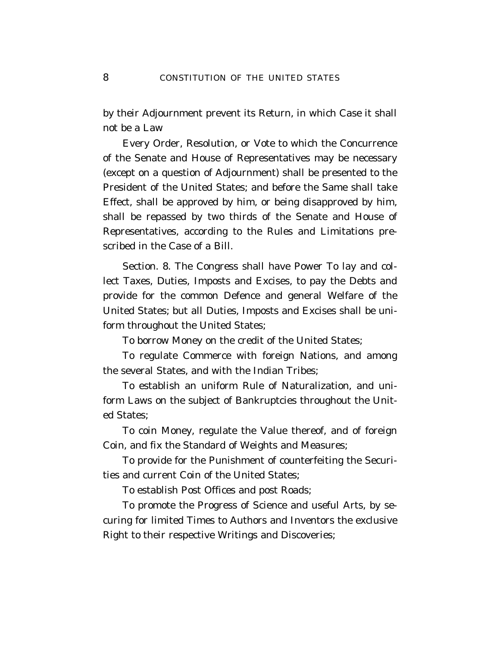by their Adjournment prevent its Return, in which Case it shall not be a Law

Every Order, Resolution, or Vote to which the Concurrence of the Senate and House of Representatives may be necessary (except on a question of Adjournment) shall be presented to the President of the United States; and before the Same shall take Effect, shall be approved by him, or being disapproved by him, shall be repassed by two thirds of the Senate and House of Representatives, according to the Rules and Limitations prescribed in the Case of a Bill.

Section. 8. The Congress shall have Power To lay and collect Taxes, Duties, Imposts and Excises, to pay the Debts and provide for the common Defence and general Welfare of the United States; but all Duties, Imposts and Excises shall be uniform throughout the United States;

To borrow Money on the credit of the United States;

To regulate Commerce with foreign Nations, and among the several States, and with the Indian Tribes;

To establish an uniform Rule of Naturalization, and uniform Laws on the subject of Bankruptcies throughout the United States;

To coin Money, regulate the Value thereof, and of foreign Coin, and fix the Standard of Weights and Measures;

To provide for the Punishment of counterfeiting the Securities and current Coin of the United States;

To establish Post Offices and post Roads;

To promote the Progress of Science and useful Arts, by securing for limited Times to Authors and Inventors the exclusive Right to their respective Writings and Discoveries;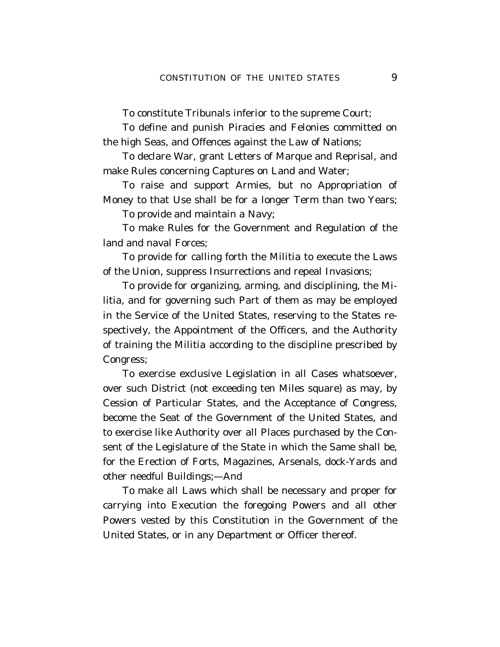To constitute Tribunals inferior to the supreme Court;

To define and punish Piracies and Felonies committed on the high Seas, and Offences against the Law of Nations;

To declare War, grant Letters of Marque and Reprisal, and make Rules concerning Captures on Land and Water;

To raise and support Armies, but no Appropriation of Money to that Use shall be for a longer Term than two Years;

To provide and maintain a Navy;

To make Rules for the Government and Regulation of the land and naval Forces;

To provide for calling forth the Militia to execute the Laws of the Union, suppress Insurrections and repeal Invasions;

To provide for organizing, arming, and disciplining, the Militia, and for governing such Part of them as may be employed in the Service of the United States, reserving to the States respectively, the Appointment of the Officers, and the Authority of training the Militia according to the discipline prescribed by Congress;

To exercise exclusive Legislation in all Cases whatsoever, over such District (not exceeding ten Miles square) as may, by Cession of Particular States, and the Acceptance of Congress, become the Seat of the Government of the United States, and to exercise like Authority over all Places purchased by the Consent of the Legislature of the State in which the Same shall be, for the Erection of Forts, Magazines, Arsenals, dock-Yards and other needful Buildings;—And

To make all Laws which shall be necessary and proper for carrying into Execution the foregoing Powers and all other Powers vested by this Constitution in the Government of the United States, or in any Department or Officer thereof.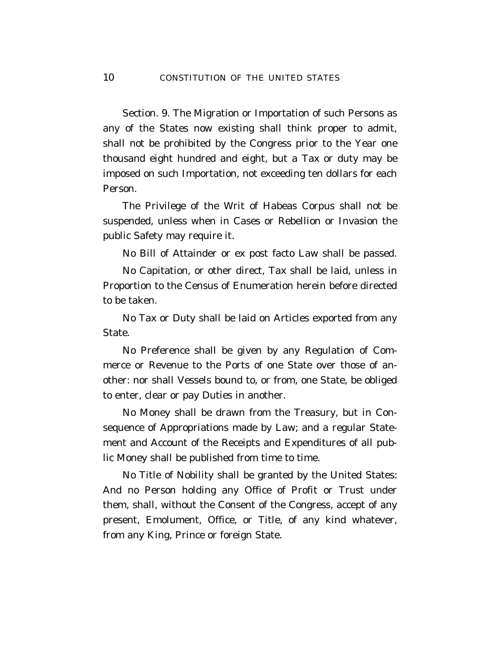Section. 9. The Migration or Importation of such Persons as any of the States now existing shall think proper to admit, shall not be prohibited by the Congress prior to the Year one thousand eight hundred and eight, but a Tax or duty may be imposed on such Importation, not exceeding ten dollars for each Person.

The Privilege of the Writ of Habeas Corpus shall not be suspended, unless when in Cases or Rebellion or Invasion the public Safety may require it.

No Bill of Attainder or ex post facto Law shall be passed.

No Capitation, or other direct, Tax shall be laid, unless in Proportion to the Census of Enumeration herein before directed to be taken.

No Tax or Duty shall be laid on Articles exported from any State.

No Preference shall be given by any Regulation of Commerce or Revenue to the Ports of one State over those of another: nor shall Vessels bound to, or from, one State, be obliged to enter, clear or pay Duties in another.

No Money shall be drawn from the Treasury, but in Consequence of Appropriations made by Law; and a regular Statement and Account of the Receipts and Expenditures of all public Money shall be published from time to time.

No Title of Nobility shall be granted by the United States: And no Person holding any Office of Profit or Trust under them, shall, without the Consent of the Congress, accept of any present, Emolument, Office, or Title, of any kind whatever, from any King, Prince or foreign State.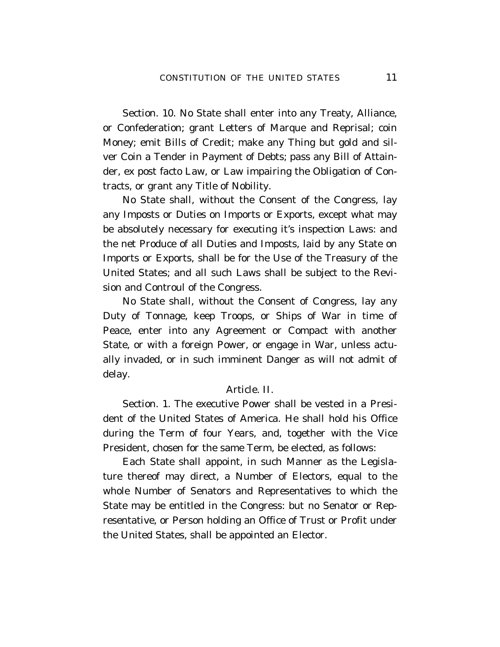Section. 10. No State shall enter into any Treaty, Alliance, or Confederation; grant Letters of Marque and Reprisal; coin Money; emit Bills of Credit; make any Thing but gold and silver Coin a Tender in Payment of Debts; pass any Bill of Attainder, ex post facto Law, or Law impairing the Obligation of Contracts, or grant any Title of Nobility.

No State shall, without the Consent of the Congress, lay any Imposts or Duties on Imports or Exports, except what may be absolutely necessary for executing it's inspection Laws: and the net Produce of all Duties and Imposts, laid by any State on Imports or Exports, shall be for the Use of the Treasury of the United States; and all such Laws shall be subject to the Revision and Controul of the Congress.

No State shall, without the Consent of Congress, lay any Duty of Tonnage, keep Troops, or Ships of War in time of Peace, enter into any Agreement or Compact with another State, or with a foreign Power, or engage in War, unless actually invaded, or in such imminent Danger as will not admit of delay.

## Article. II.

Section. 1. The executive Power shall be vested in a President of the United States of America. He shall hold his Office during the Term of four Years, and, together with the Vice President, chosen for the same Term, be elected, as follows:

Each State shall appoint, in such Manner as the Legislature thereof may direct, a Number of Electors, equal to the whole Number of Senators and Representatives to which the State may be entitled in the Congress: but no Senator or Representative, or Person holding an Office of Trust or Profit under the United States, shall be appointed an Elector.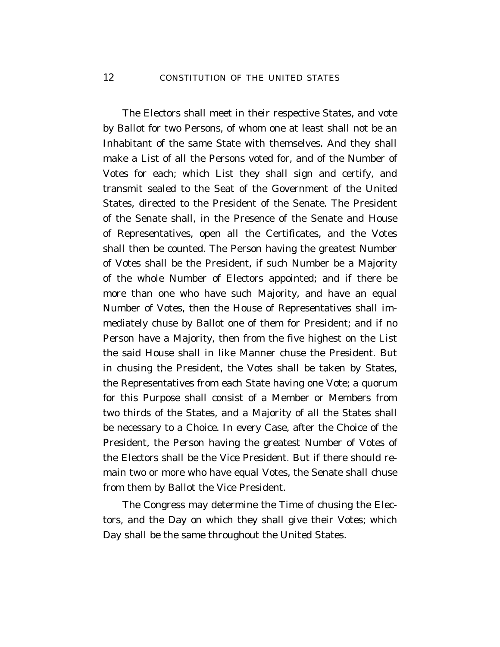The Electors shall meet in their respective States, and vote by Ballot for two Persons, of whom one at least shall not be an Inhabitant of the same State with themselves. And they shall make a List of all the Persons voted for, and of the Number of Votes for each; which List they shall sign and certify, and transmit sealed to the Seat of the Government of the United States, directed to the President of the Senate. The President of the Senate shall, in the Presence of the Senate and House of Representatives, open all the Certificates, and the Votes shall then be counted. The Person having the greatest Number of Votes shall be the President, if such Number be a Majority of the whole Number of Electors appointed; and if there be more than one who have such Majority, and have an equal Number of Votes, then the House of Representatives shall immediately chuse by Ballot one of them for President; and if no Person have a Majority, then from the five highest on the List the said House shall in like Manner chuse the President. But in chusing the President, the Votes shall be taken by States, the Representatives from each State having one Vote; a quorum for this Purpose shall consist of a Member or Members from two thirds of the States, and a Majority of all the States shall be necessary to a Choice. In every Case, after the Choice of the President, the Person having the greatest Number of Votes of the Electors shall be the Vice President. But if there should remain two or more who have equal Votes, the Senate shall chuse from them by Ballot the Vice President.

The Congress may determine the Time of chusing the Electors, and the Day on which they shall give their Votes; which Day shall be the same throughout the United States.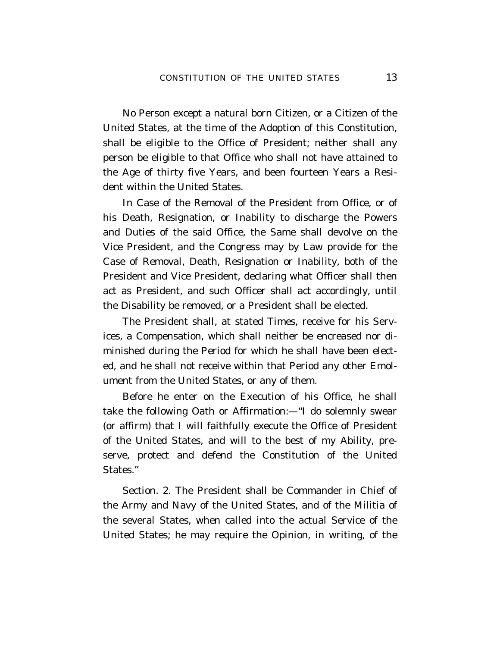No Person except a natural born Citizen, or a Citizen of the United States, at the time of the Adoption of this Constitution, shall be eligible to the Office of President; neither shall any person be eligible to that Office who shall not have attained to the Age of thirty five Years, and been fourteen Years a Resident within the United States.

In Case of the Removal of the President from Office, or of his Death, Resignation, or Inability to discharge the Powers and Duties of the said Office, the Same shall devolve on the Vice President, and the Congress may by Law provide for the Case of Removal, Death, Resignation or Inability, both of the President and Vice President, declaring what Officer shall then act as President, and such Officer shall act accordingly, until the Disability be removed, or a President shall be elected.

The President shall, at stated Times, receive for his Services, a Compensation, which shall neither be encreased nor diminished during the Period for which he shall have been elected, and he shall not receive within that Period any other Emolument from the United States, or any of them.

Before he enter on the Execution of his Office, he shall take the following Oath or Affirmation:—''I do solemnly swear (or affirm) that I will faithfully execute the Office of President of the United States, and will to the best of my Ability, preserve, protect and defend the Constitution of the United States.''

Section. 2. The President shall be Commander in Chief of the Army and Navy of the United States, and of the Militia of the several States, when called into the actual Service of the United States; he may require the Opinion, in writing, of the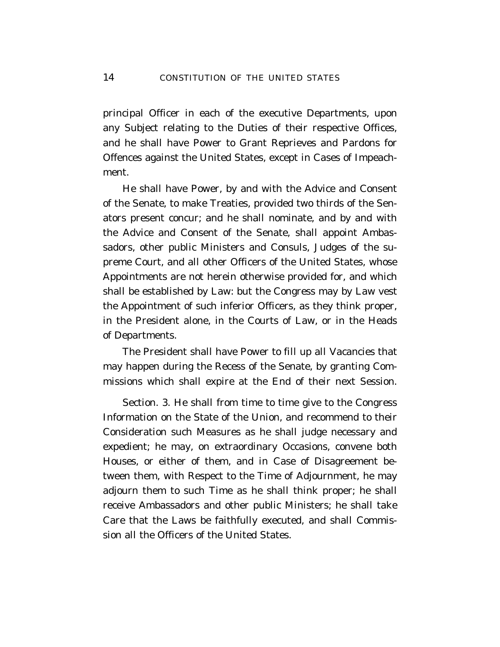principal Officer in each of the executive Departments, upon any Subject relating to the Duties of their respective Offices, and he shall have Power to Grant Reprieves and Pardons for Offences against the United States, except in Cases of Impeachment.

He shall have Power, by and with the Advice and Consent of the Senate, to make Treaties, provided two thirds of the Senators present concur; and he shall nominate, and by and with the Advice and Consent of the Senate, shall appoint Ambassadors, other public Ministers and Consuls, Judges of the supreme Court, and all other Officers of the United States, whose Appointments are not herein otherwise provided for, and which shall be established by Law: but the Congress may by Law vest the Appointment of such inferior Officers, as they think proper, in the President alone, in the Courts of Law, or in the Heads of Departments.

The President shall have Power to fill up all Vacancies that may happen during the Recess of the Senate, by granting Commissions which shall expire at the End of their next Session.

Section. 3. He shall from time to time give to the Congress Information on the State of the Union, and recommend to their Consideration such Measures as he shall judge necessary and expedient; he may, on extraordinary Occasions, convene both Houses, or either of them, and in Case of Disagreement between them, with Respect to the Time of Adjournment, he may adjourn them to such Time as he shall think proper; he shall receive Ambassadors and other public Ministers; he shall take Care that the Laws be faithfully executed, and shall Commission all the Officers of the United States.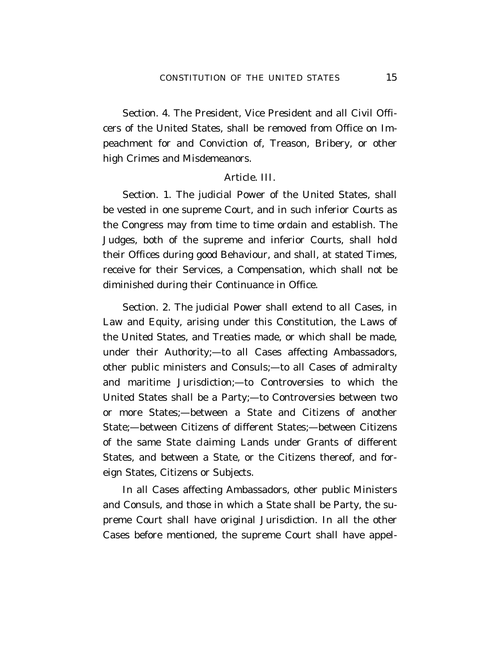Section. 4. The President, Vice President and all Civil Officers of the United States, shall be removed from Office on Impeachment for and Conviction of, Treason, Bribery, or other high Crimes and Misdemeanors.

## Article. III.

Section. 1. The judicial Power of the United States, shall be vested in one supreme Court, and in such inferior Courts as the Congress may from time to time ordain and establish. The Judges, both of the supreme and inferior Courts, shall hold their Offices during good Behaviour, and shall, at stated Times, receive for their Services, a Compensation, which shall not be diminished during their Continuance in Office.

Section. 2. The judicial Power shall extend to all Cases, in Law and Equity, arising under this Constitution, the Laws of the United States, and Treaties made, or which shall be made, under their Authority;—to all Cases affecting Ambassadors, other public ministers and Consuls;—to all Cases of admiralty and maritime Jurisdiction;—to Controversies to which the United States shall be a Party;—to Controversies between two or more States;—between a State and Citizens of another State;—between Citizens of different States;—between Citizens of the same State claiming Lands under Grants of different States, and between a State, or the Citizens thereof, and foreign States, Citizens or Subjects.

In all Cases affecting Ambassadors, other public Ministers and Consuls, and those in which a State shall be Party, the supreme Court shall have original Jurisdiction. In all the other Cases before mentioned, the supreme Court shall have appel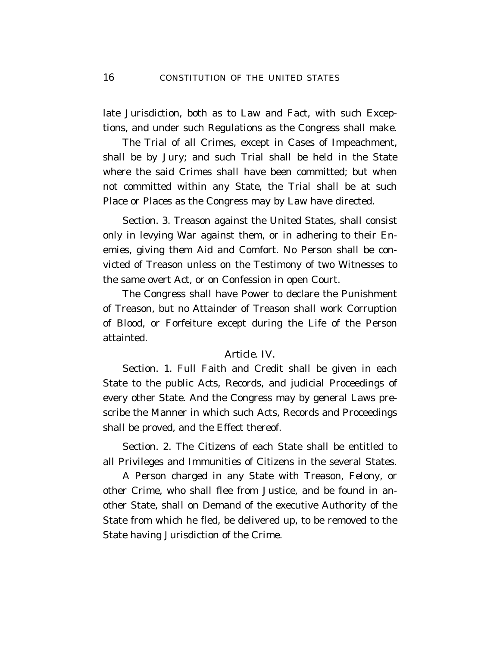late Jurisdiction, both as to Law and Fact, with such Exceptions, and under such Regulations as the Congress shall make.

The Trial of all Crimes, except in Cases of Impeachment, shall be by Jury; and such Trial shall be held in the State where the said Crimes shall have been committed; but when not committed within any State, the Trial shall be at such Place or Places as the Congress may by Law have directed.

Section. 3. Treason against the United States, shall consist only in levying War against them, or in adhering to their Enemies, giving them Aid and Comfort. No Person shall be convicted of Treason unless on the Testimony of two Witnesses to the same overt Act, or on Confession in open Court.

The Congress shall have Power to declare the Punishment of Treason, but no Attainder of Treason shall work Corruption of Blood, or Forfeiture except during the Life of the Person attainted.

#### Article. IV.

Section. 1. Full Faith and Credit shall be given in each State to the public Acts, Records, and judicial Proceedings of every other State. And the Congress may by general Laws prescribe the Manner in which such Acts, Records and Proceedings shall be proved, and the Effect thereof.

Section. 2. The Citizens of each State shall be entitled to all Privileges and Immunities of Citizens in the several States.

A Person charged in any State with Treason, Felony, or other Crime, who shall flee from Justice, and be found in another State, shall on Demand of the executive Authority of the State from which he fled, be delivered up, to be removed to the State having Jurisdiction of the Crime.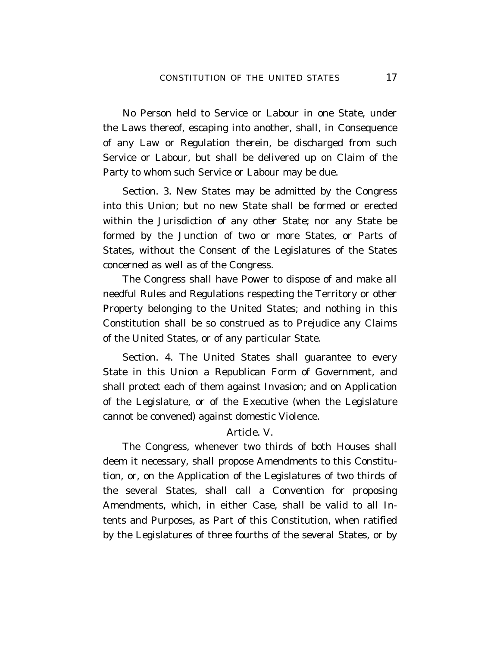No Person held to Service or Labour in one State, under the Laws thereof, escaping into another, shall, in Consequence of any Law or Regulation therein, be discharged from such Service or Labour, but shall be delivered up on Claim of the Party to whom such Service or Labour may be due.

Section. 3. New States may be admitted by the Congress into this Union; but no new State shall be formed or erected within the Jurisdiction of any other State; nor any State be formed by the Junction of two or more States, or Parts of States, without the Consent of the Legislatures of the States concerned as well as of the Congress.

The Congress shall have Power to dispose of and make all needful Rules and Regulations respecting the Territory or other Property belonging to the United States; and nothing in this Constitution shall be so construed as to Prejudice any Claims of the United States, or of any particular State.

Section. 4. The United States shall guarantee to every State in this Union a Republican Form of Government, and shall protect each of them against Invasion; and on Application of the Legislature, or of the Executive (when the Legislature cannot be convened) against domestic Violence.

## Article. V.

The Congress, whenever two thirds of both Houses shall deem it necessary, shall propose Amendments to this Constitution, or, on the Application of the Legislatures of two thirds of the several States, shall call a Convention for proposing Amendments, which, in either Case, shall be valid to all Intents and Purposes, as Part of this Constitution, when ratified by the Legislatures of three fourths of the several States, or by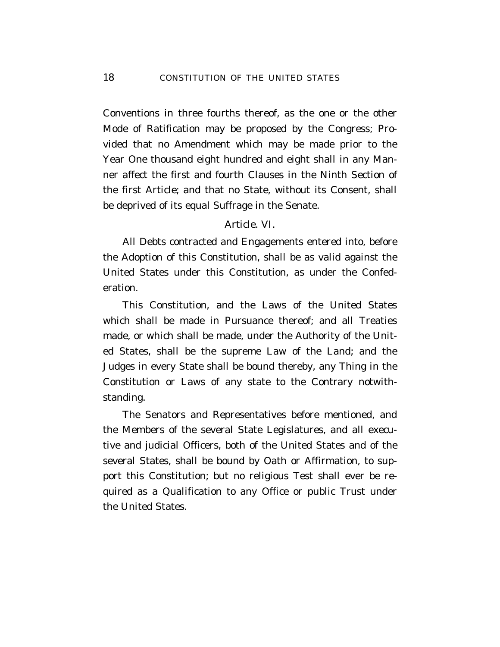Conventions in three fourths thereof, as the one or the other Mode of Ratification may be proposed by the Congress; Provided that no Amendment which may be made prior to the Year One thousand eight hundred and eight shall in any Manner affect the first and fourth Clauses in the Ninth Section of the first Article; and that no State, without its Consent, shall be deprived of its equal Suffrage in the Senate.

## Article. VI.

All Debts contracted and Engagements entered into, before the Adoption of this Constitution, shall be as valid against the United States under this Constitution, as under the Confederation.

This Constitution, and the Laws of the United States which shall be made in Pursuance thereof; and all Treaties made, or which shall be made, under the Authority of the United States, shall be the supreme Law of the Land; and the Judges in every State shall be bound thereby, any Thing in the Constitution or Laws of any state to the Contrary notwithstanding.

The Senators and Representatives before mentioned, and the Members of the several State Legislatures, and all executive and judicial Officers, both of the United States and of the several States, shall be bound by Oath or Affirmation, to support this Constitution; but no religious Test shall ever be required as a Qualification to any Office or public Trust under the United States.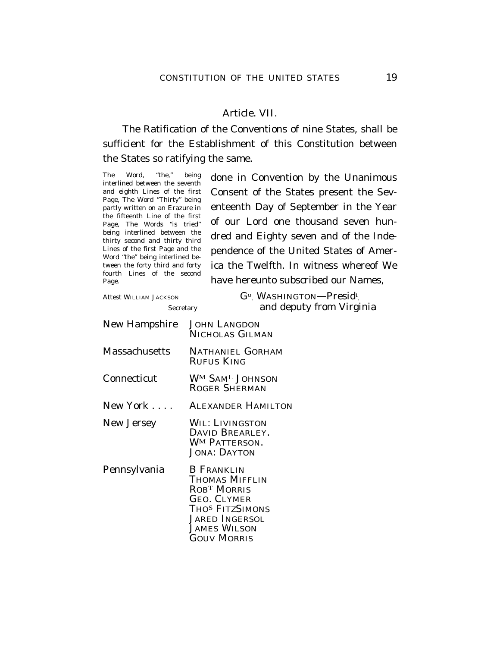## Article. VII.

The Ratification of the Conventions of nine States, shall be sufficient for the Establishment of this Constitution between the States so ratifying the same.

The Word, "the," being interlined between the seventh and eighth Lines of the first Page, The Word "Thirty" being partly written on an Erazure in the fifteenth Line of the first Page, The Words "is tried" being interlined between the thirty second and thirty third Lines of the first Page and the Word ''the'' being interlined between the forty third and forty fourth Lines of the second Page.

done in Convention by the Unanimous Consent of the States present the Seventeenth Day of September in the Year of our Lord one thousand seven hundred and Eighty seven and of the Independence of the United States of America the Twelfth. In witness whereof We have hereunto subscribed our Names,

```
Attest WILLIAM JACKSON
```
. WASHINGTON—Presid<sup>t</sup> . Secretary and deputy from Virginia

| <b>New Hampshire</b> | <b>JOHN LANGDON</b><br>NICHOLAS GILMAN                                                                                                                                                           |
|----------------------|--------------------------------------------------------------------------------------------------------------------------------------------------------------------------------------------------|
| <b>Massachusetts</b> | NATHANIEL GORHAM<br>RUFUS KING                                                                                                                                                                   |
| Connecticut          | WM SAM <sup>L</sup> JOHNSON<br><b>ROGER SHERMAN</b>                                                                                                                                              |
| New York $\dots$ .   | <b>ALEXANDER HAMILTON</b>                                                                                                                                                                        |
| New Jersey           | WIL: LIVINGSTON<br>DAVID BREARLEY.<br><b>WM PATTERSON.</b><br><b>JONA: DAYTON</b>                                                                                                                |
| Pennsylvania         | <b>B FRANKLIN</b><br><b>THOMAS MIFFLIN</b><br>ROB <sup>T</sup> MORRIS<br><b>GEO. CLYMER</b><br>THO <sup>S</sup> FITZSIMONS<br><b>JARED INGERSOL</b><br><b>JAMES WILSON</b><br><b>GOUV MORRIS</b> |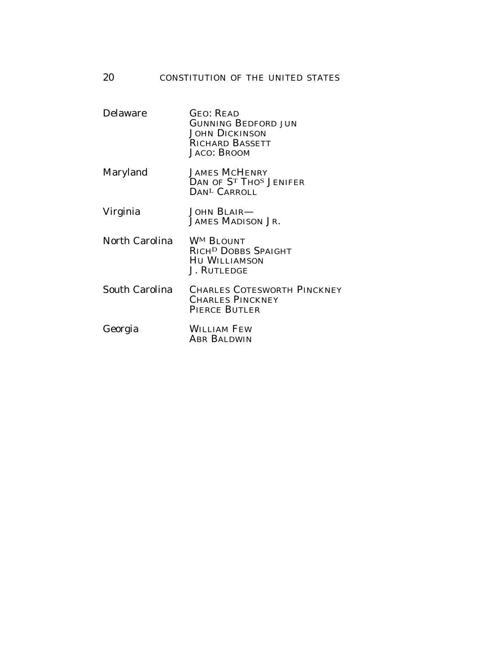| Delaware              | <b>GEO: READ</b><br><b>GUNNING BEDFORD JUN</b><br><b>JOHN DICKINSON</b><br><b>RICHARD BASSETT</b><br><b>JACO: BROOM</b> |
|-----------------------|-------------------------------------------------------------------------------------------------------------------------|
| Maryland              | <b>JAMES MCHENRY</b><br>DAN OF ST THOS JENIFER<br>DAN <sup>L</sup> CARROLL                                              |
| Virginia              | <b>JOHN BLAIR—</b><br>JAMES MADISON JR.                                                                                 |
| North Carolina        | <b>WM BLOUNT</b><br>RICH <sup>D</sup> DOBBS SPAIGHT<br><b>HU WILLIAMSON</b><br><b>J. RUTLEDGE</b>                       |
| <b>South Carolina</b> | <b>CHARLES COTESWORTH PINCKNEY</b><br><b>CHARLES PINCKNEY</b><br><b>PIERCE BUTLER</b>                                   |
| Georgia               | <b>WILLIAM FEW</b><br>ABR BALDWIN                                                                                       |
|                       |                                                                                                                         |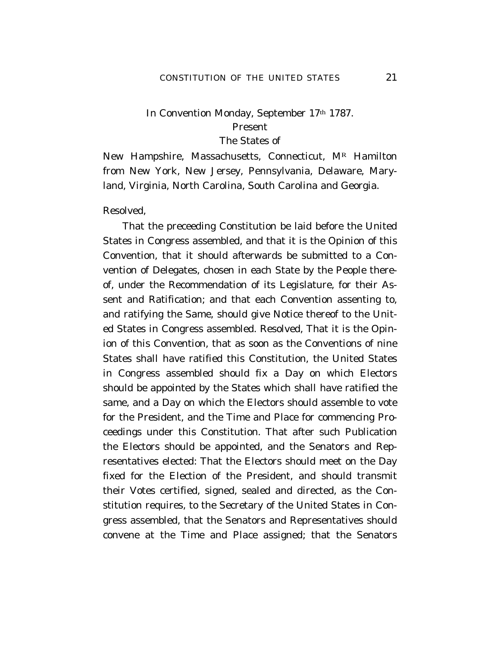## In Convention Monday, September 17th 1787. Present The States of

New Hampshire, Massachusetts, Connecticut,  $M^R$  Hamilton from New York, New Jersey, Pennsylvania, Delaware, Maryland, Virginia, North Carolina, South Carolina and Georgia.

Resolved,

That the preceeding Constitution be laid before the United States in Congress assembled, and that it is the Opinion of this Convention, that it should afterwards be submitted to a Convention of Delegates, chosen in each State by the People thereof, under the Recommendation of its Legislature, for their Assent and Ratification; and that each Convention assenting to, and ratifying the Same, should give Notice thereof to the United States in Congress assembled. Resolved, That it is the Opinion of this Convention, that as soon as the Conventions of nine States shall have ratified this Constitution, the United States in Congress assembled should fix a Day on which Electors should be appointed by the States which shall have ratified the same, and a Day on which the Electors should assemble to vote for the President, and the Time and Place for commencing Proceedings under this Constitution. That after such Publication the Electors should be appointed, and the Senators and Representatives elected: That the Electors should meet on the Day fixed for the Election of the President, and should transmit their Votes certified, signed, sealed and directed, as the Constitution requires, to the Secretary of the United States in Congress assembled, that the Senators and Representatives should convene at the Time and Place assigned; that the Senators